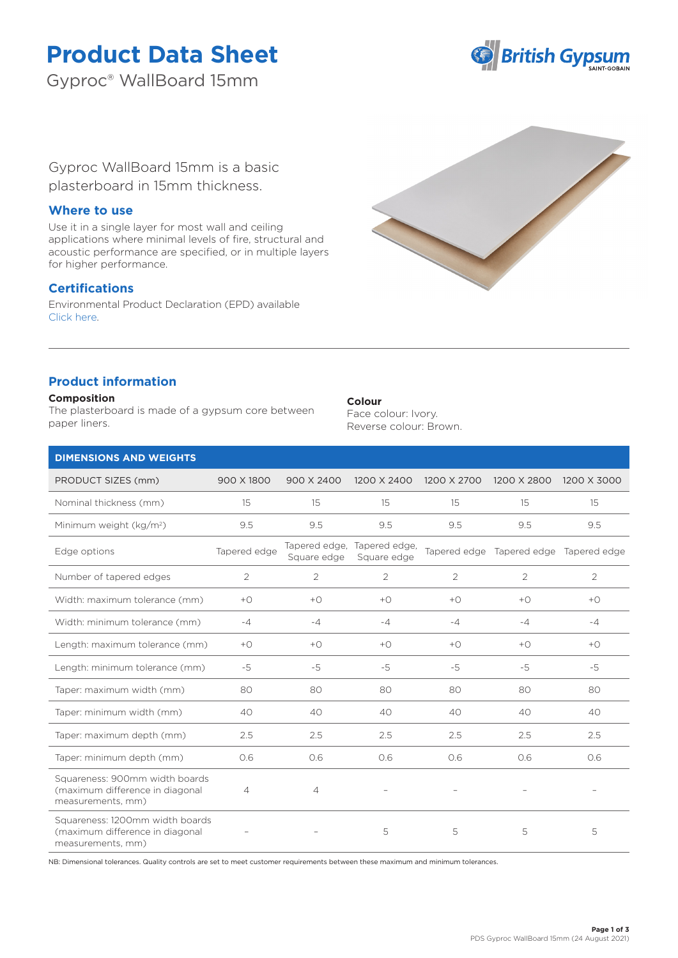# **Product Data Sheet**

Gyproc® WallBoard 15mm



Gyproc WallBoard 15mm is a basic plasterboard in 15mm thickness.

## **Where to use**

Use it in a single layer for most wall and ceiling applications where minimal levels of fire, structural and acoustic performance are specified, or in multiple layers for higher performance.

# **Certifications**

Environmental Product Declaration (EPD) available [Click here.](https://www.british-gypsum.com/EPD)



# **Product information**

#### **Composition**

The plasterboard is made of a gypsum core between paper liners.

## **Colour**

Face colour: Ivory. Reverse colour: Brown.

# **DIMENSIONS AND WEIGHTS** PRODUCT SIZES (mm) 900 X 1800 900 X 2400 1200 X 2400 1200 X 2700 1200 X 2800 1200 X 3000 Nominal thickness (mm) 15 15 15 15 15 15 Minimum weight (kg/m<sup>2</sup>) 9.5 9.5 9.5 9.5 9.5 9.5 9.5 Edge options Tapered edge Tapered edge, Square edge Tapered edge, Square edge Tapered edge Tapered edge Tapered edge Number of tapered edges 2 2 2 2 2 2 Width: maximum tolerance (mm) +0 +0 +0 +0 +0 +0 Width: minimum tolerance (mm)  $-4$  -4  $-4$  -4  $-4$  -4  $-4$ Length: maximum tolerance (mm) +0 +0 +0 +0 +0 +0 Length: minimum tolerance (mm)  $-5$  -5  $-5$  -5  $-5$  -5  $-5$ Taper: maximum width (mm) 80 80 80 80 80 80 80 80 Taper: minimum width (mm)  $40$  40 40 40 40 40 40 40 Taper: maximum depth (mm) 2.5 2.5 2.5 2.5 2.5 2.5 Taper: minimum depth (mm)  $0.6$  0.6 0.6 0.6 0.6 0.6 0.6 0.6 Squareness: 900mm width boards (maximum difference in diagonal measurements, mm) 4 4 – – – – Squareness: 1200mm width boards (maximum difference in diagonal measurements, mm) – – 5 5 5 5 5 5

NB: Dimensional tolerances. Quality controls are set to meet customer requirements between these maximum and minimum tolerances.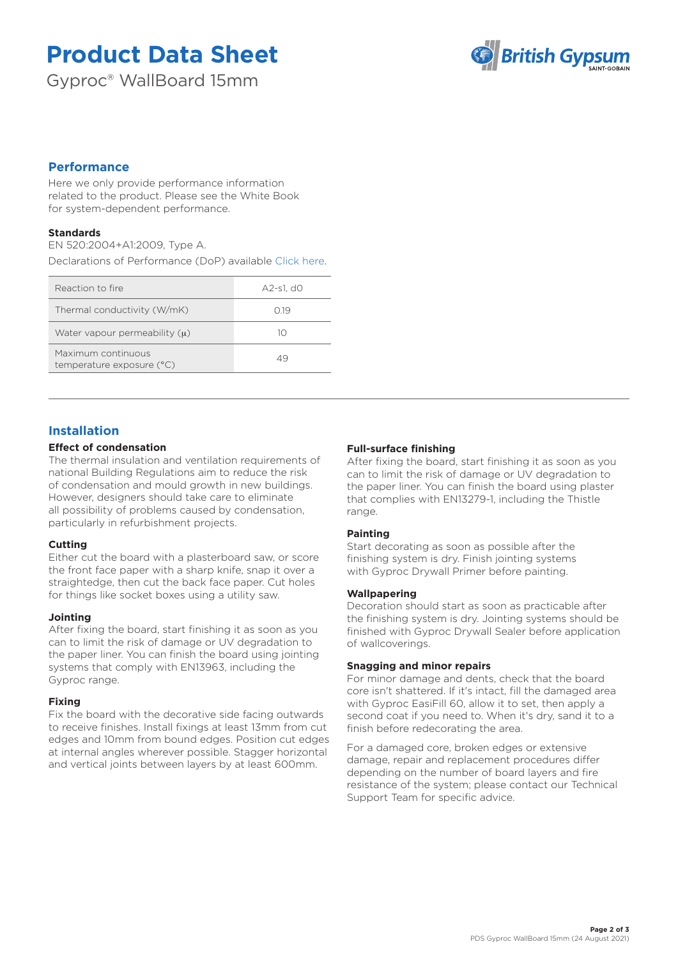# **Product Data Sheet**

Gyproc® WallBoard 15mm



## **Performance**

Here we only provide performance information related to the product. Please see the White Book for system-dependent performance.

## **Standards**

EN 520:2004+A1:2009, Type A.

Declarations of Performance (DoP) available [Click here.](https://www.british-gypsum.com/DoP)

| Reaction to fire                                | A2-s1. d0 |
|-------------------------------------------------|-----------|
| Thermal conductivity (W/mK)                     | O 19      |
| Water vapour permeability $(\mu)$               | 10        |
| Maximum continuous<br>temperature exposure (°C) | 49        |

# **Installation**

## **Effect of condensation**

The thermal insulation and ventilation requirements of national Building Regulations aim to reduce the risk of condensation and mould growth in new buildings. However, designers should take care to eliminate all possibility of problems caused by condensation, particularly in refurbishment projects.

## **Cutting**

Either cut the board with a plasterboard saw, or score the front face paper with a sharp knife, snap it over a straightedge, then cut the back face paper. Cut holes for things like socket boxes using a utility saw.

## **Jointing**

After fixing the board, start finishing it as soon as you can to limit the risk of damage or UV degradation to the paper liner. You can finish the board using jointing systems that comply with EN13963, including the Gyproc range.

## **Fixing**

Fix the board with the decorative side facing outwards to receive finishes. Install fixings at least 13mm from cut edges and 10mm from bound edges. Position cut edges at internal angles wherever possible. Stagger horizontal and vertical joints between layers by at least 600mm.

## **Full-surface finishing**

After fixing the board, start finishing it as soon as you can to limit the risk of damage or UV degradation to the paper liner. You can finish the board using plaster that complies with EN13279-1, including the Thistle range.

## **Painting**

Start decorating as soon as possible after the finishing system is dry. Finish jointing systems with Gyproc Drywall Primer before painting.

## **Wallpapering**

Decoration should start as soon as practicable after the finishing system is dry. Jointing systems should be finished with Gyproc Drywall Sealer before application of wallcoverings.

## **Snagging and minor repairs**

For minor damage and dents, check that the board core isn't shattered. If it's intact, fill the damaged area with Gyproc EasiFill 60, allow it to set, then apply a second coat if you need to. When it's dry, sand it to a finish before redecorating the area.

For a damaged core, broken edges or extensive damage, repair and replacement procedures differ depending on the number of board layers and fire resistance of the system; please contact our Technical Support Team for specific advice.